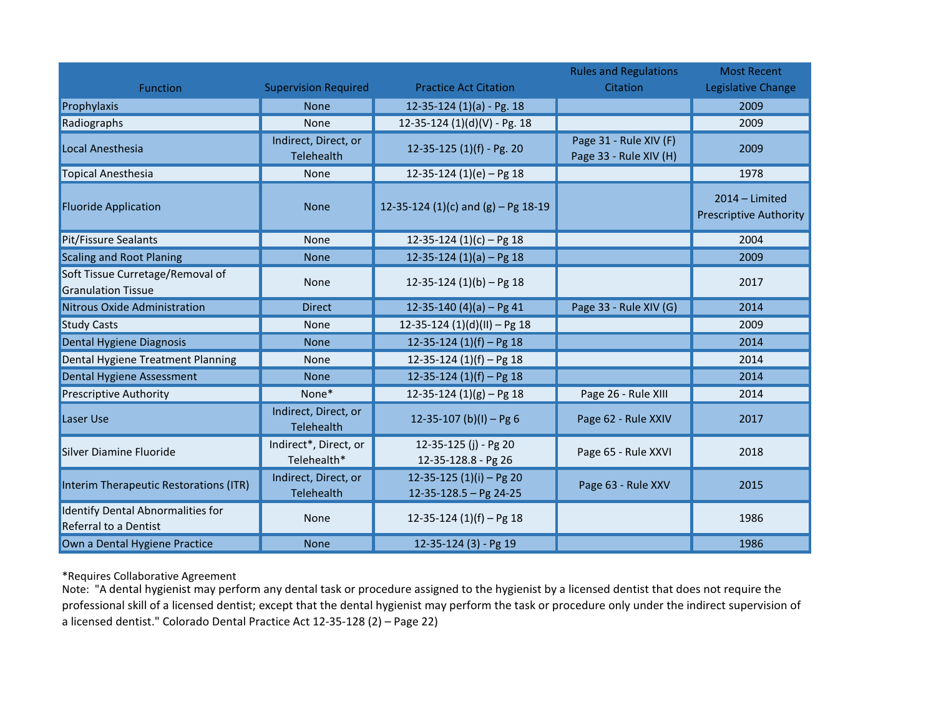|                                                                   |                                           |                                                    | <b>Rules and Regulations</b>                     | <b>Most Recent</b>                              |
|-------------------------------------------------------------------|-------------------------------------------|----------------------------------------------------|--------------------------------------------------|-------------------------------------------------|
| <b>Function</b>                                                   | <b>Supervision Required</b>               | <b>Practice Act Citation</b>                       | <b>Citation</b>                                  | Legislative Change                              |
| Prophylaxis                                                       | <b>None</b>                               | 12-35-124 (1)(a) - Pg. 18                          |                                                  | 2009                                            |
| Radiographs                                                       | None                                      | 12-35-124 (1)(d)(V) - Pg. 18                       |                                                  | 2009                                            |
| Local Anesthesia                                                  | Indirect, Direct, or<br>Telehealth        | 12-35-125 (1)(f) - Pg. 20                          | Page 31 - Rule XIV (F)<br>Page 33 - Rule XIV (H) | 2009                                            |
| <b>Topical Anesthesia</b>                                         | None                                      | 12-35-124 (1)(e) - Pg 18                           |                                                  | 1978                                            |
| <b>Fluoride Application</b>                                       | <b>None</b>                               | 12-35-124 (1)(c) and (g) - Pg 18-19                |                                                  | 2014 - Limited<br><b>Prescriptive Authority</b> |
| Pit/Fissure Sealants                                              | None                                      | 12-35-124 (1)(c) - Pg 18                           |                                                  | 2004                                            |
| <b>Scaling and Root Planing</b>                                   | <b>None</b>                               | 12-35-124 (1)(a) $-$ Pg 18                         |                                                  | 2009                                            |
| Soft Tissue Curretage/Removal of<br><b>Granulation Tissue</b>     | <b>None</b>                               | 12-35-124 (1)(b) $-$ Pg 18                         |                                                  | 2017                                            |
| Nitrous Oxide Administration                                      | <b>Direct</b>                             | 12-35-140 (4)(a) - Pg 41                           | Page 33 - Rule XIV (G)                           | 2014                                            |
| <b>Study Casts</b>                                                | None                                      | 12-35-124 (1)(d)(II) - Pg 18                       |                                                  | 2009                                            |
| Dental Hygiene Diagnosis                                          | <b>None</b>                               | 12-35-124 (1)(f) $-$ Pg 18                         |                                                  | 2014                                            |
| Dental Hygiene Treatment Planning                                 | <b>None</b>                               | 12-35-124 (1)(f) - Pg 18                           |                                                  | 2014                                            |
| Dental Hygiene Assessment                                         | <b>None</b>                               | 12-35-124 (1)(f) - Pg 18                           |                                                  | 2014                                            |
| <b>Prescriptive Authority</b>                                     | None*                                     | 12-35-124 $(1)(g)$ – Pg 18                         | Page 26 - Rule XIII                              | 2014                                            |
| Laser Use                                                         | Indirect, Direct, or<br><b>Telehealth</b> | 12-35-107 (b)(l) - Pg 6                            | Page 62 - Rule XXIV                              | 2017                                            |
| Silver Diamine Fluoride                                           | Indirect*, Direct, or<br>Telehealth*      | 12-35-125 (j) - Pg 20<br>12-35-128.8 - Pg 26       | Page 65 - Rule XXVI                              | 2018                                            |
| Interim Therapeutic Restorations (ITR)                            | Indirect, Direct, or<br>Telehealth        | 12-35-125 (1)(i) - Pg 20<br>12-35-128.5 - Pg 24-25 | Page 63 - Rule XXV                               | 2015                                            |
| Identify Dental Abnormalities for<br><b>Referral to a Dentist</b> | None                                      | 12-35-124 (1)(f) - Pg 18                           |                                                  | 1986                                            |
| Own a Dental Hygiene Practice                                     | <b>None</b>                               | 12-35-124 (3) - Pg 19                              |                                                  | 1986                                            |

\*Requires Collaborative Agreement Note: "A dental hygienist may perform any dental task or procedure assigned to the hygienist by a licensed dentist that does not require the professional skill of a licensed dentist; except that the dental hygienist may perform the task or procedure only under the indirect supervision of a licensed dentist." Colorado Dental Practice Act 12-35-128 (2) – Page 22)